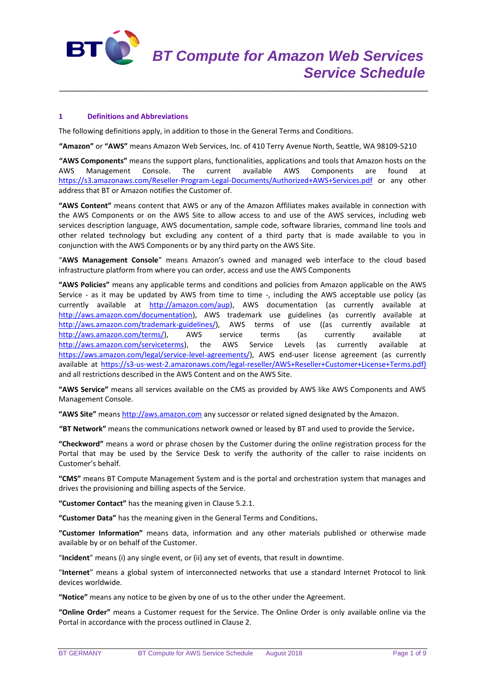

## **1 Definitions and Abbreviations**

The following definitions apply, in addition to those in the General Terms and Conditions.

**"Amazon"** or **"AWS"** means Amazon Web Services, Inc. of 410 Terry Avenue North, Seattle, WA 98109-5210

\_\_\_\_\_\_\_\_\_\_\_\_\_\_\_\_\_\_\_\_\_\_\_\_\_\_\_\_\_\_\_\_\_\_\_\_\_\_\_\_\_\_\_\_\_\_\_\_\_\_\_\_\_\_\_\_\_\_\_\_\_\_\_\_\_\_\_\_\_\_\_\_\_\_

**"AWS Components"** means the support plans, functionalities, applications and tools that Amazon hosts on the AWS Management Console. The current available AWS Components are found at <https://s3.amazonaws.com/Reseller-Program-Legal-Documents/Authorized+AWS+Services.pdf> or any other address that BT or Amazon notifies the Customer of.

**"AWS Content"** means content that AWS or any of the Amazon Affiliates makes available in connection with the AWS Components or on the AWS Site to allow access to and use of the AWS services, including web services description language, AWS documentation, sample code, software libraries, command line tools and other related technology but excluding any content of a third party that is made available to you in conjunction with the AWS Components or by any third party on the AWS Site.

"**AWS Management Console**" means Amazon's owned and managed web interface to the cloud based infrastructure platform from where you can order, access and use the AWS Components

**"AWS Policies"** means any applicable terms and conditions and policies from Amazon applicable on the AWS Service - as it may be updated by AWS from time to time -, including the AWS acceptable use policy (as currently available at [http://amazon.com/aup\)](http://amazon.com/aup), AWS documentation (as currently available at [http://aws.amazon.com/documentation\)](http://aws.amazon.com/documentation), AWS trademark use guidelines (as currently available at [http://aws.amazon.com/trademark-guidelines/\)](http://aws.amazon.com/trademark-guidelines/), AWS terms of use ((as currently available at http://aws.amazon.com/terms/), AWS service terms (as currently available at [http://aws.amazon.com/terms/\)](http://aws.amazon.com/terms/), AWS service terms (as currently available at [http://aws.amazon.com/serviceterms\)](http://aws.amazon.com/serviceterms), the AWS Service Levels (as currently available at [https://aws.amazon.com/legal/service-level-agreements/\)](https://aws.amazon.com/legal/service-level-agreements/), AWS end-user license agreement (as currently available at [https://s3-us-west-2.amazonaws.com/legal-reseller/AWS+Reseller+Customer+License+Terms.pdf\)](https://s3-us-west-2.amazonaws.com/legal-reseller/AWS+Reseller+Customer+License+Terms.pdf) and all restrictions described in the AWS Content and on the AWS Site.

**"AWS Service"** means all services available on the CMS as provided by AWS like AWS Components and AWS Management Console.

**"AWS Site"** means [http://aws.amazon.com](http://aws.amazon.com/) any successor or related signed designated by the Amazon.

**"BT Network"** means the communications network owned or leased by BT and used to provide the Service**.**

**"Checkword"** means a word or phrase chosen by the Customer during the online registration process for the Portal that may be used by the Service Desk to verify the authority of the caller to raise incidents on Customer's behalf.

**"CMS"** means BT Compute Management System and is the portal and orchestration system that manages and drives the provisioning and billing aspects of the Service.

**"Customer Contact"** has the meaning given in Clause 5.2.1.

**"Customer Data"** has the meaning given in the General Terms and Conditions**.**

**"Customer Information"** means data, information and any other materials published or otherwise made available by or on behalf of the Customer.

"**Incident**" means (i) any single event, or (ii) any set of events, that result in downtime.

"**Internet**" means a global system of interconnected networks that use a standard Internet Protocol to link devices worldwide.

**"Notice"** means any notice to be given by one of us to the other under the Agreement.

**"Online Order"** means a Customer request for the Service. The Online Order is only available online via the Portal in accordance with the process outlined in Clause 2.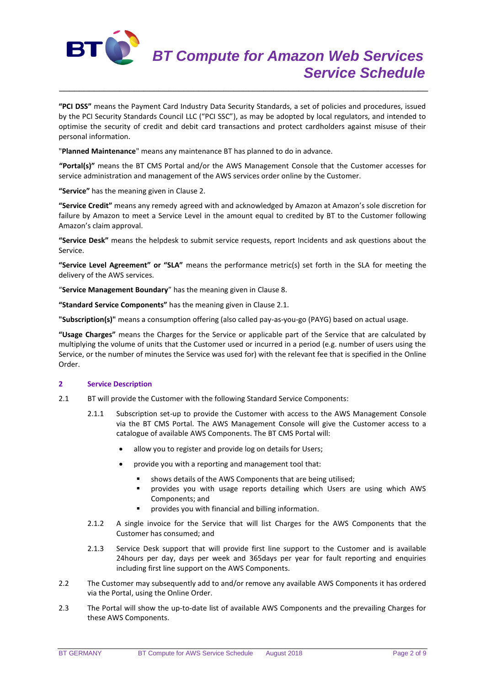

**"PCI DSS"** means the Payment Card Industry Data Security Standards, a set of policies and procedures, issued by the PCI Security Standards Council LLC ("PCI SSC"), as may be adopted by local regulators, and intended to optimise the security of credit and debit card transactions and protect cardholders against misuse of their personal information.

\_\_\_\_\_\_\_\_\_\_\_\_\_\_\_\_\_\_\_\_\_\_\_\_\_\_\_\_\_\_\_\_\_\_\_\_\_\_\_\_\_\_\_\_\_\_\_\_\_\_\_\_\_\_\_\_\_\_\_\_\_\_\_\_\_\_\_\_\_\_\_\_\_\_

"**Planned Maintenance**" means any maintenance BT has planned to do in advance.

**"Portal(s)"** means the BT CMS Portal and/or the AWS Management Console that the Customer accesses for service administration and management of the AWS services order online by the Customer.

**"Service"** has the meaning given in Clause 2.

**"Service Credit"** means any remedy agreed with and acknowledged by Amazon at Amazon's sole discretion for failure by Amazon to meet a Service Level in the amount equal to credited by BT to the Customer following Amazon's claim approval.

**"Service Desk"** means the helpdesk to submit service requests, report Incidents and ask questions about the Service.

**"Service Level Agreement" or "SLA"** means the performance metric(s) set forth in the SLA for meeting the delivery of the AWS services.

"**Service Management Boundary**" has the meaning given in Clause 8.

**"Standard Service Components"** has the meaning given in Clause 2.1.

**"Subscription(s)"** means a consumption offering (also called pay-as-you-go (PAYG) based on actual usage.

**"Usage Charges"** means the Charges for the Service or applicable part of the Service that are calculated by multiplying the volume of units that the Customer used or incurred in a period (e.g. number of users using the Service, or the number of minutes the Service was used for) with the relevant fee that is specified in the Online Order.

## **2 Service Description**

- 2.1 BT will provide the Customer with the following Standard Service Components:
	- 2.1.1 Subscription set-up to provide the Customer with access to the AWS Management Console via the BT CMS Portal. The AWS Management Console will give the Customer access to a catalogue of available AWS Components. The BT CMS Portal will:
		- allow you to register and provide log on details for Users;
		- provide you with a reporting and management tool that:
			- shows details of the AWS Components that are being utilised;
			- provides you with usage reports detailing which Users are using which AWS Components; and
			- provides you with financial and billing information.
	- 2.1.2 A single invoice for the Service that will list Charges for the AWS Components that the Customer has consumed; and
	- 2.1.3 Service Desk support that will provide first line support to the Customer and is available 24hours per day, days per week and 365days per year for fault reporting and enquiries including first line support on the AWS Components.
- 2.2 The Customer may subsequently add to and/or remove any available AWS Components it has ordered via the Portal, using the Online Order.
- 2.3 The Portal will show the up-to-date list of available AWS Components and the prevailing Charges for these AWS Components.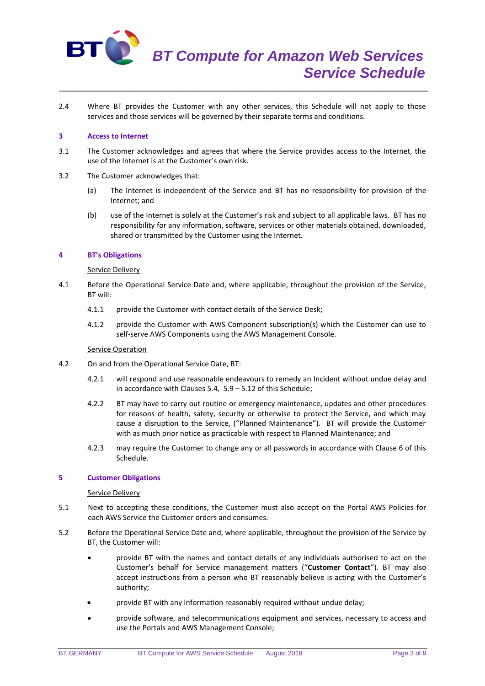

2.4 Where BT provides the Customer with any other services, this Schedule will not apply to those services and those services will be governed by their separate terms and conditions.

\_\_\_\_\_\_\_\_\_\_\_\_\_\_\_\_\_\_\_\_\_\_\_\_\_\_\_\_\_\_\_\_\_\_\_\_\_\_\_\_\_\_\_\_\_\_\_\_\_\_\_\_\_\_\_\_\_\_\_\_\_\_\_\_\_\_\_\_\_\_\_\_\_\_

### **3 Access to Internet**

- 3.1 The Customer acknowledges and agrees that where the Service provides access to the Internet, the use of the Internet is at the Customer's own risk.
- 3.2 The Customer acknowledges that:
	- (a) The Internet is independent of the Service and BT has no responsibility for provision of the Internet; and
	- (b) use of the Internet is solely at the Customer's risk and subject to all applicable laws. BT has no responsibility for any information, software, services or other materials obtained, downloaded, shared or transmitted by the Customer using the Internet.

### **4 BT's Obligations**

### Service Delivery

- 4.1 Before the Operational Service Date and, where applicable, throughout the provision of the Service, BT will:
	- 4.1.1 provide the Customer with contact details of the Service Desk;
	- 4.1.2 provide the Customer with AWS Component subscription(s) which the Customer can use to self-serve AWS Components using the AWS Management Console.

#### **Service Operation**

- 4.2 On and from the Operational Service Date, BT:
	- 4.2.1 will respond and use reasonable endeavours to remedy an Incident without undue delay and in accordance with Clauses 5.4, 5.9 – 5.12 of this Schedule;
	- 4.2.2 BT may have to carry out routine or emergency maintenance, updates and other procedures for reasons of health, safety, security or otherwise to protect the Service, and which may cause a disruption to the Service, ("Planned Maintenance"). BT will provide the Customer with as much prior notice as practicable with respect to Planned Maintenance; and
	- 4.2.3 may require the Customer to change any or all passwords in accordance with Clause 6 of this Schedule.

#### **5 Customer Obligations**

#### Service Delivery

- 5.1 Next to accepting these conditions, the Customer must also accept on the Portal AWS Policies for each AWS Service the Customer orders and consumes.
- 5.2 Before the Operational Service Date and, where applicable, throughout the provision of the Service by BT, the Customer will:
	- provide BT with the names and contact details of any individuals authorised to act on the Customer's behalf for Service management matters ("**Customer Contact**"). BT may also accept instructions from a person who BT reasonably believe is acting with the Customer's authority;
	- provide BT with any information reasonably required without undue delay;
	- provide software, and telecommunications equipment and services, necessary to access and use the Portals and AWS Management Console;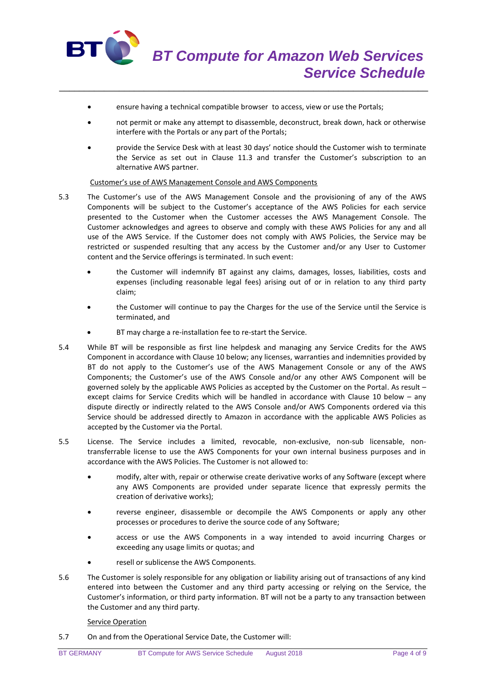

ensure having a technical compatible browser to access, view or use the Portals;

\_\_\_\_\_\_\_\_\_\_\_\_\_\_\_\_\_\_\_\_\_\_\_\_\_\_\_\_\_\_\_\_\_\_\_\_\_\_\_\_\_\_\_\_\_\_\_\_\_\_\_\_\_\_\_\_\_\_\_\_\_\_\_\_\_\_\_\_\_\_\_\_\_\_

- not permit or make any attempt to disassemble, deconstruct, break down, hack or otherwise interfere with the Portals or any part of the Portals;
- provide the Service Desk with at least 30 days' notice should the Customer wish to terminate the Service as set out in Clause 11.3 and transfer the Customer's subscription to an alternative AWS partner.

### Customer's use of AWS Management Console and AWS Components

- 5.3 The Customer's use of the AWS Management Console and the provisioning of any of the AWS Components will be subject to the Customer's acceptance of the AWS Policies for each service presented to the Customer when the Customer accesses the AWS Management Console. The Customer acknowledges and agrees to observe and comply with these AWS Policies for any and all use of the AWS Service. If the Customer does not comply with AWS Policies, the Service may be restricted or suspended resulting that any access by the Customer and/or any User to Customer content and the Service offerings is terminated. In such event:
	- the Customer will indemnify BT against any claims, damages, losses, liabilities, costs and expenses (including reasonable legal fees) arising out of or in relation to any third party claim;
	- the Customer will continue to pay the Charges for the use of the Service until the Service is terminated, and
	- BT may charge a re-installation fee to re-start the Service.
- 5.4 While BT will be responsible as first line helpdesk and managing any Service Credits for the AWS Component in accordance with Clause 10 below; any licenses, warranties and indemnities provided by BT do not apply to the Customer's use of the AWS Management Console or any of the AWS Components; the Customer's use of the AWS Console and/or any other AWS Component will be governed solely by the applicable AWS Policies as accepted by the Customer on the Portal. As result – except claims for Service Credits which will be handled in accordance with Clause 10 below – any dispute directly or indirectly related to the AWS Console and/or AWS Components ordered via this Service should be addressed directly to Amazon in accordance with the applicable AWS Policies as accepted by the Customer via the Portal.
- 5.5 License. The Service includes a limited, revocable, non-exclusive, non-sub licensable, nontransferrable license to use the AWS Components for your own internal business purposes and in accordance with the AWS Policies. The Customer is not allowed to:
	- modify, alter with, repair or otherwise create derivative works of any Software (except where any AWS Components are provided under separate licence that expressly permits the creation of derivative works);
	- reverse engineer, disassemble or decompile the AWS Components or apply any other processes or procedures to derive the source code of any Software;
	- access or use the AWS Components in a way intended to avoid incurring Charges or exceeding any usage limits or quotas; and
	- resell or sublicense the AWS Components.
- 5.6 The Customer is solely responsible for any obligation or liability arising out of transactions of any kind entered into between the Customer and any third party accessing or relying on the Service, the Customer's information, or third party information. BT will not be a party to any transaction between the Customer and any third party.

#### Service Operation

5.7 On and from the Operational Service Date, the Customer will: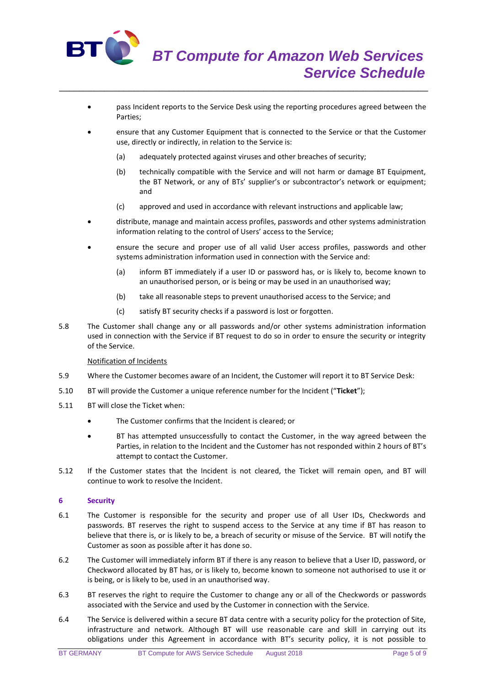

- pass Incident reports to the Service Desk using the reporting procedures agreed between the Parties;
- ensure that any Customer Equipment that is connected to the Service or that the Customer use, directly or indirectly, in relation to the Service is:
	- (a) adequately protected against viruses and other breaches of security;

\_\_\_\_\_\_\_\_\_\_\_\_\_\_\_\_\_\_\_\_\_\_\_\_\_\_\_\_\_\_\_\_\_\_\_\_\_\_\_\_\_\_\_\_\_\_\_\_\_\_\_\_\_\_\_\_\_\_\_\_\_\_\_\_\_\_\_\_\_\_\_\_\_\_

- (b) technically compatible with the Service and will not harm or damage BT Equipment, the BT Network, or any of BTs' supplier's or subcontractor's network or equipment; and
- (c) approved and used in accordance with relevant instructions and applicable law;
- distribute, manage and maintain access profiles, passwords and other systems administration information relating to the control of Users' access to the Service;
- ensure the secure and proper use of all valid User access profiles, passwords and other systems administration information used in connection with the Service and:
	- (a) inform BT immediately if a user ID or password has, or is likely to, become known to an unauthorised person, or is being or may be used in an unauthorised way;
	- (b) take all reasonable steps to prevent unauthorised access to the Service; and
	- (c) satisfy BT security checks if a password is lost or forgotten.
- 5.8 The Customer shall change any or all passwords and/or other systems administration information used in connection with the Service if BT request to do so in order to ensure the security or integrity of the Service.

## Notification of Incidents

- 5.9 Where the Customer becomes aware of an Incident, the Customer will report it to BT Service Desk:
- 5.10 BT will provide the Customer a unique reference number for the Incident ("**Ticket**");
- 5.11 BT will close the Ticket when:
	- The Customer confirms that the Incident is cleared; or
	- BT has attempted unsuccessfully to contact the Customer, in the way agreed between the Parties, in relation to the Incident and the Customer has not responded within 2 hours of BT's attempt to contact the Customer.
- 5.12 If the Customer states that the Incident is not cleared, the Ticket will remain open, and BT will continue to work to resolve the Incident.

## **6 Security**

- 6.1 The Customer is responsible for the security and proper use of all User IDs, Checkwords and passwords. BT reserves the right to suspend access to the Service at any time if BT has reason to believe that there is, or is likely to be, a breach of security or misuse of the Service. BT will notify the Customer as soon as possible after it has done so.
- 6.2 The Customer will immediately inform BT if there is any reason to believe that a User ID, password, or Checkword allocated by BT has, or is likely to, become known to someone not authorised to use it or is being, or is likely to be, used in an unauthorised way.
- 6.3 BT reserves the right to require the Customer to change any or all of the Checkwords or passwords associated with the Service and used by the Customer in connection with the Service.
- 6.4 The Service is delivered within a secure BT data centre with a security policy for the protection of Site, infrastructure and network. Although BT will use reasonable care and skill in carrying out its obligations under this Agreement in accordance with BT's security policy, it is not possible to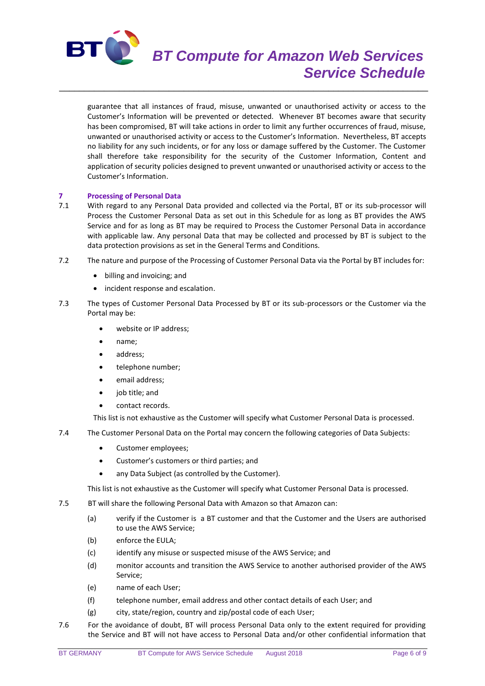

guarantee that all instances of fraud, misuse, unwanted or unauthorised activity or access to the Customer's Information will be prevented or detected. Whenever BT becomes aware that security has been compromised, BT will take actions in order to limit any further occurrences of fraud, misuse, unwanted or unauthorised activity or access to the Customer's Information. Nevertheless, BT accepts no liability for any such incidents, or for any loss or damage suffered by the Customer. The Customer shall therefore take responsibility for the security of the Customer Information, Content and application of security policies designed to prevent unwanted or unauthorised activity or access to the Customer's Information.

\_\_\_\_\_\_\_\_\_\_\_\_\_\_\_\_\_\_\_\_\_\_\_\_\_\_\_\_\_\_\_\_\_\_\_\_\_\_\_\_\_\_\_\_\_\_\_\_\_\_\_\_\_\_\_\_\_\_\_\_\_\_\_\_\_\_\_\_\_\_\_\_\_\_

# **7 Processing of Personal Data**

- 7.1 With regard to any Personal Data provided and collected via the Portal, BT or its sub-processor will Process the Customer Personal Data as set out in this Schedule for as long as BT provides the AWS Service and for as long as BT may be required to Process the Customer Personal Data in accordance with applicable law. Any personal Data that may be collected and processed by BT is subject to the data protection provisions as set in the General Terms and Conditions.
- 7.2 The nature and purpose of the Processing of Customer Personal Data via the Portal by BT includes for:
	- billing and invoicing; and
	- incident response and escalation.
- 7.3 The types of Customer Personal Data Processed by BT or its sub-processors or the Customer via the Portal may be:
	- website or IP address;
	- name;
	- address:
	- telephone number;
	- email address;
	- job title; and
	- contact records.

This list is not exhaustive as the Customer will specify what Customer Personal Data is processed.

- 7.4 The Customer Personal Data on the Portal may concern the following categories of Data Subjects:
	- Customer employees;
	- Customer's customers or third parties; and
	- any Data Subject (as controlled by the Customer).

This list is not exhaustive as the Customer will specify what Customer Personal Data is processed.

- 7.5 BT will share the following Personal Data with Amazon so that Amazon can:
	- (a) verify if the Customer is a BT customer and that the Customer and the Users are authorised to use the AWS Service;
	- (b) enforce the EULA;
	- (c) identify any misuse or suspected misuse of the AWS Service; and
	- (d) monitor accounts and transition the AWS Service to another authorised provider of the AWS Service;
	- (e) name of each User;
	- (f) telephone number, email address and other contact details of each User; and
	- (g) city, state/region, country and zip/postal code of each User;
- 7.6 For the avoidance of doubt, BT will process Personal Data only to the extent required for providing the Service and BT will not have access to Personal Data and/or other confidential information that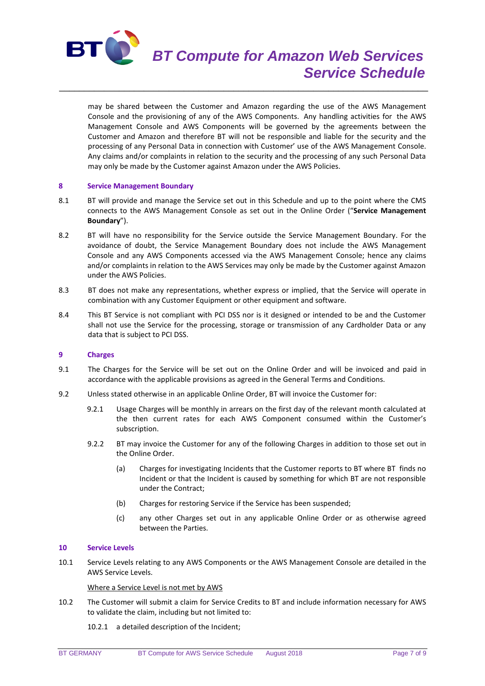

may be shared between the Customer and Amazon regarding the use of the AWS Management Console and the provisioning of any of the AWS Components. Any handling activities for the AWS Management Console and AWS Components will be governed by the agreements between the Customer and Amazon and therefore BT will not be responsible and liable for the security and the processing of any Personal Data in connection with Customer' use of the AWS Management Console. Any claims and/or complaints in relation to the security and the processing of any such Personal Data may only be made by the Customer against Amazon under the AWS Policies.

## **8 Service Management Boundary**

8.1 BT will provide and manage the Service set out in this Schedule and up to the point where the CMS connects to the AWS Management Console as set out in the Online Order ("**Service Management Boundary**").

\_\_\_\_\_\_\_\_\_\_\_\_\_\_\_\_\_\_\_\_\_\_\_\_\_\_\_\_\_\_\_\_\_\_\_\_\_\_\_\_\_\_\_\_\_\_\_\_\_\_\_\_\_\_\_\_\_\_\_\_\_\_\_\_\_\_\_\_\_\_\_\_\_\_

- 8.2 BT will have no responsibility for the Service outside the Service Management Boundary. For the avoidance of doubt, the Service Management Boundary does not include the AWS Management Console and any AWS Components accessed via the AWS Management Console; hence any claims and/or complaints in relation to the AWS Services may only be made by the Customer against Amazon under the AWS Policies.
- 8.3 BT does not make any representations, whether express or implied, that the Service will operate in combination with any Customer Equipment or other equipment and software.
- 8.4 This BT Service is not compliant with PCI DSS nor is it designed or intended to be and the Customer shall not use the Service for the processing, storage or transmission of any Cardholder Data or any data that is subject to PCI DSS.

## **9 Charges**

- 9.1 The Charges for the Service will be set out on the Online Order and will be invoiced and paid in accordance with the applicable provisions as agreed in the General Terms and Conditions.
- 9.2 Unless stated otherwise in an applicable Online Order, BT will invoice the Customer for:
	- 9.2.1 Usage Charges will be monthly in arrears on the first day of the relevant month calculated at the then current rates for each AWS Component consumed within the Customer's subscription.
	- 9.2.2 BT may invoice the Customer for any of the following Charges in addition to those set out in the Online Order.
		- (a) Charges for investigating Incidents that the Customer reports to BT where BT finds no Incident or that the Incident is caused by something for which BT are not responsible under the Contract;
		- (b) Charges for restoring Service if the Service has been suspended;
		- (c) any other Charges set out in any applicable Online Order or as otherwise agreed between the Parties.

### **10 Service Levels**

10.1 Service Levels relating to any AWS Components or the AWS Management Console are detailed in the AWS Service Levels.

Where a Service Level is not met by AWS

- 10.2 The Customer will submit a claim for Service Credits to BT and include information necessary for AWS to validate the claim, including but not limited to:
	- 10.2.1 a detailed description of the Incident;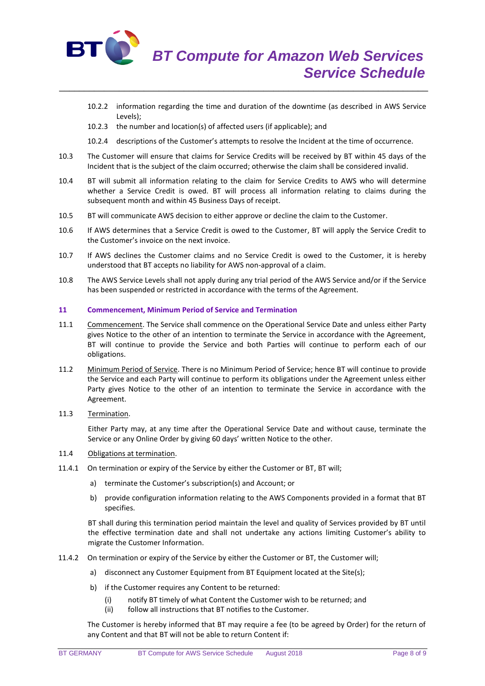

- 10.2.2 information regarding the time and duration of the downtime (as described in AWS Service Levels);
- 10.2.3 the number and location(s) of affected users (if applicable); and
- 10.2.4 descriptions of the Customer's attempts to resolve the Incident at the time of occurrence.
- 10.3 The Customer will ensure that claims for Service Credits will be received by BT within 45 days of the Incident that is the subject of the claim occurred; otherwise the claim shall be considered invalid.

\_\_\_\_\_\_\_\_\_\_\_\_\_\_\_\_\_\_\_\_\_\_\_\_\_\_\_\_\_\_\_\_\_\_\_\_\_\_\_\_\_\_\_\_\_\_\_\_\_\_\_\_\_\_\_\_\_\_\_\_\_\_\_\_\_\_\_\_\_\_\_\_\_\_

- 10.4 BT will submit all information relating to the claim for Service Credits to AWS who will determine whether a Service Credit is owed. BT will process all information relating to claims during the subsequent month and within 45 Business Days of receipt.
- 10.5 BT will communicate AWS decision to either approve or decline the claim to the Customer.
- 10.6 If AWS determines that a Service Credit is owed to the Customer, BT will apply the Service Credit to the Customer's invoice on the next invoice.
- 10.7 If AWS declines the Customer claims and no Service Credit is owed to the Customer, it is hereby understood that BT accepts no liability for AWS non-approval of a claim.
- 10.8 The AWS Service Levels shall not apply during any trial period of the AWS Service and/or if the Service has been suspended or restricted in accordance with the terms of the Agreement.

## **11 Commencement, Minimum Period of Service and Termination**

- 11.1 Commencement. The Service shall commence on the Operational Service Date and unless either Party gives Notice to the other of an intention to terminate the Service in accordance with the Agreement, BT will continue to provide the Service and both Parties will continue to perform each of our obligations.
- 11.2 Minimum Period of Service. There is no Minimum Period of Service; hence BT will continue to provide the Service and each Party will continue to perform its obligations under the Agreement unless either Party gives Notice to the other of an intention to terminate the Service in accordance with the Agreement.
- 11.3 Termination.

Either Party may, at any time after the Operational Service Date and without cause, terminate the Service or any Online Order by giving 60 days' written Notice to the other.

# 11.4 Obligations at termination.

- 11.4.1 On termination or expiry of the Service by either the Customer or BT, BT will;
	- a) terminate the Customer's subscription(s) and Account; or
	- b) provide configuration information relating to the AWS Components provided in a format that BT specifies.

BT shall during this termination period maintain the level and quality of Services provided by BT until the effective termination date and shall not undertake any actions limiting Customer's ability to migrate the Customer Information.

- 11.4.2 On termination or expiry of the Service by either the Customer or BT, the Customer will;
	- a) disconnect any Customer Equipment from BT Equipment located at the Site(s);
	- b) if the Customer requires any Content to be returned:
		- (i) notify BT timely of what Content the Customer wish to be returned; and
		- (ii) follow all instructions that BT notifies to the Customer.

The Customer is hereby informed that BT may require a fee (to be agreed by Order) for the return of any Content and that BT will not be able to return Content if: